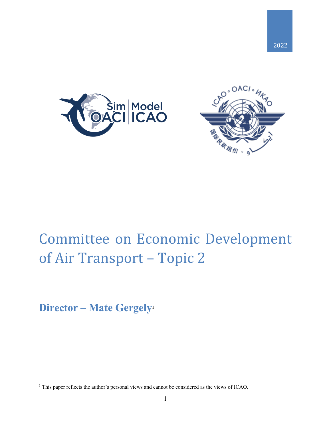



# Committee on Economic Development of Air Transport – Topic 2

**Director – Mate Gergely**<sup>1</sup>

 $\overline{a}$ 

<sup>&</sup>lt;sup>1</sup> This paper reflects the author's personal views and cannot be considered as the views of ICAO.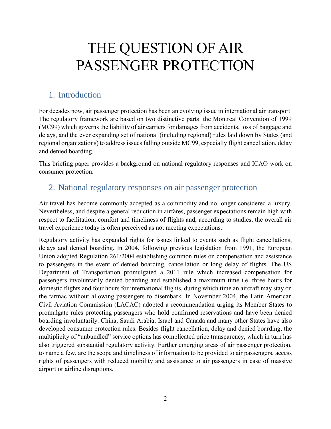# THE QUESTION OF AIR PASSENGER PROTECTION

### 1. Introduction

For decades now, air passenger protection has been an evolving issue in international air transport. The regulatory framework are based on two distinctive parts: the Montreal Convention of 1999 (MC99) which governs the liability of air carriers for damages from accidents, loss of baggage and delays, and the ever expanding set of national (including regional) rules laid down by States (and regional organizations) to address issues falling outside MC99, especially flight cancellation, delay and denied boarding.

This briefing paper provides a background on national regulatory responses and ICAO work on consumer protection.

### 2. National regulatory responses on air passenger protection

Air travel has become commonly accepted as a commodity and no longer considered a luxury. Nevertheless, and despite a general reduction in airfares, passenger expectations remain high with respect to facilitation, comfort and timeliness of flights and, according to studies, the overall air travel experience today is often perceived as not meeting expectations.

Regulatory activity has expanded rights for issues linked to events such as flight cancellations, delays and denied boarding. In 2004, following previous legislation from 1991, the European Union adopted Regulation 261/2004 establishing common rules on compensation and assistance to passengers in the event of denied boarding, cancellation or long delay of flights. The US Department of Transportation promulgated a 2011 rule which increased compensation for passengers involuntarily denied boarding and established a maximum time i.e. three hours for domestic flights and four hours for international flights, during which time an aircraft may stay on the tarmac without allowing passengers to disembark. In November 2004, the Latin American Civil Aviation Commission (LACAC) adopted a recommendation urging its Member States to promulgate rules protecting passengers who hold confirmed reservations and have been denied boarding involuntarily. China, Saudi Arabia, Israel and Canada and many other States have also developed consumer protection rules. Besides flight cancellation, delay and denied boarding, the multiplicity of "unbundled" service options has complicated price transparency, which in turn has also triggered substantial regulatory activity. Further emerging areas of air passenger protection, to name a few, are the scope and timeliness of information to be provided to air passengers, access rights of passengers with reduced mobility and assistance to air passengers in case of massive airport or airline disruptions.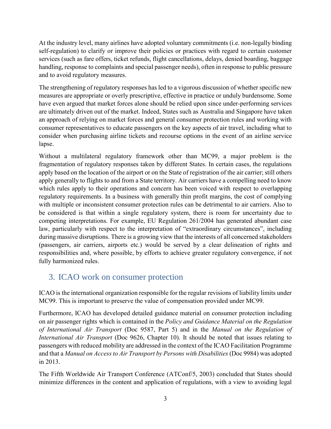At the industry level, many airlines have adopted voluntary commitments (i.e. non-legally binding self-regulation) to clarify or improve their policies or practices with regard to certain customer services (such as fare offers, ticket refunds, flight cancellations, delays, denied boarding, baggage handling, response to complaints and special passenger needs), often in response to public pressure and to avoid regulatory measures.

The strengthening of regulatory responses has led to a vigorous discussion of whether specific new measures are appropriate or overly prescriptive, effective in practice or unduly burdensome. Some have even argued that market forces alone should be relied upon since under-performing services are ultimately driven out of the market. Indeed, States such as Australia and Singapore have taken an approach of relying on market forces and general consumer protection rules and working with consumer representatives to educate passengers on the key aspects of air travel, including what to consider when purchasing airline tickets and recourse options in the event of an airline service lapse.

Without a multilateral regulatory framework other than MC99, a major problem is the fragmentation of regulatory responses taken by different States. In certain cases, the regulations apply based on the location of the airport or on the State of registration of the air carrier; still others apply generally to flights to and from a State territory. Air carriers have a compelling need to know which rules apply to their operations and concern has been voiced with respect to overlapping regulatory requirements. In a business with generally thin profit margins, the cost of complying with multiple or inconsistent consumer protection rules can be detrimental to air carriers. Also to be considered is that within a single regulatory system, there is room for uncertainty due to competing interpretations. For example, EU Regulation 261/2004 has generated abundant case law, particularly with respect to the interpretation of "extraordinary circumstances", including during massive disruptions. There is a growing view that the interests of all concerned stakeholders (passengers, air carriers, airports etc.) would be served by a clear delineation of rights and responsibilities and, where possible, by efforts to achieve greater regulatory convergence, if not fully harmonized rules.

### 3. ICAO work on consumer protection

ICAO is the international organization responsible for the regular revisions of liability limits under MC99. This is important to preserve the value of compensation provided under MC99.

Furthermore, ICAO has developed detailed guidance material on consumer protection including on air passenger rights which is contained in the *Policy and Guidance Material on the Regulation of International Air Transport* (Doc 9587, Part 5) and in the *Manual on the Regulation of International Air Transport* (Doc 9626, Chapter 10). It should be noted that issues relating to passengers with reduced mobility are addressed in the context of the ICAO Facilitation Programme and that a *Manual on Access to Air Transport by Persons with Disabilities* (Doc 9984) was adopted in 2013.

The Fifth Worldwide Air Transport Conference (ATConf/5, 2003) concluded that States should minimize differences in the content and application of regulations, with a view to avoiding legal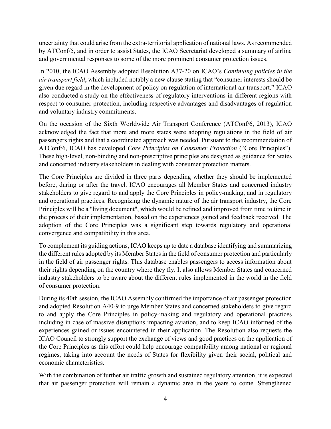uncertainty that could arise from the extra-territorial application of national laws. As recommended by ATConf/5, and in order to assist States, the ICAO Secretariat developed a summary of airline and governmental responses to some of the more prominent consumer protection issues.

In 2010, the ICAO Assembly adopted Resolution A37-20 on ICAO's *Continuing policies in the air transport field*, which included notably a new clause stating that "consumer interests should be given due regard in the development of policy on regulation of international air transport." ICAO also conducted a study on the effectiveness of regulatory interventions in different regions with respect to consumer protection, including respective advantages and disadvantages of regulation and voluntary industry commitments.

On the occasion of the Sixth Worldwide Air Transport Conference (ATConf/6, 2013), ICAO acknowledged the fact that more and more states were adopting regulations in the field of air passengers rights and that a coordinated approach was needed. Pursuant to the recommendation of ATConf/6, ICAO has developed *Core Principles on Consumer Protection* ("Core Principles"). These high-level, non-binding and non-prescriptive principles are designed as guidance for States and concerned industry stakeholders in dealing with consumer protection matters.

The Core Principles are divided in three parts depending whether they should be implemented before, during or after the travel. ICAO encourages all Member States and concerned industry stakeholders to give regard to and apply the Core Principles in policy-making, and in regulatory and operational practices. Recognizing the dynamic nature of the air transport industry, the Core Principles will be a "living document", which would be refined and improved from time to time in the process of their implementation, based on the experiences gained and feedback received. The adoption of the Core Principles was a significant step towards regulatory and operational convergence and compatibility in this area.

To complement its guiding actions, ICAO keeps up to date a database identifying and summarizing the different rules adopted by its Member States in the field of consumer protection and particularly in the field of air passenger rights. This database enables passengers to access information about their rights depending on the country where they fly. It also allows Member States and concerned industry stakeholders to be aware about the different rules implemented in the world in the field of consumer protection.

During its 40th session, the ICAO Assembly confirmed the importance of air passenger protection and adopted Resolution A40-9 to urge Member States and concerned stakeholders to give regard to and apply the Core Principles in policy-making and regulatory and operational practices including in case of massive disruptions impacting aviation, and to keep ICAO informed of the experiences gained or issues encountered in their application. The Resolution also requests the ICAO Council to strongly support the exchange of views and good practices on the application of the Core Principles as this effort could help encourage compatibility among national or regional regimes, taking into account the needs of States for flexibility given their social, political and economic characteristics.

With the combination of further air traffic growth and sustained regulatory attention, it is expected that air passenger protection will remain a dynamic area in the years to come. Strengthened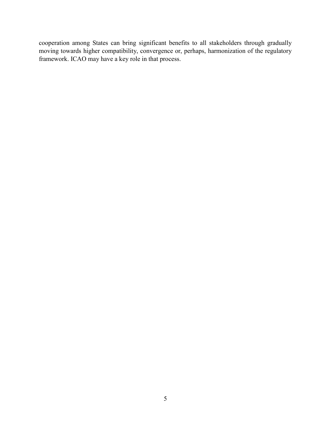cooperation among States can bring significant benefits to all stakeholders through gradually moving towards higher compatibility, convergence or, perhaps, harmonization of the regulatory framework. ICAO may have a key role in that process.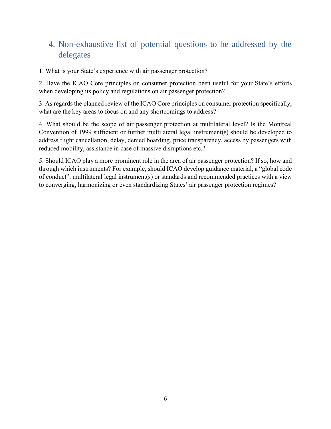## 4. Non-exhaustive list of potential questions to be addressed by the delegates

1. What is your State's experience with air passenger protection?

2. Have the ICAO Core principles on consumer protection been useful for your State's efforts when developing its policy and regulations on air passenger protection?

3. As regards the planned review of the ICAO Core principles on consumer protection specifically, what are the key areas to focus on and any shortcomings to address?

4. What should be the scope of air passenger protection at multilateral level? Is the Montreal Convention of 1999 sufficient or further multilateral legal instrument(s) should be developed to address flight cancellation, delay, denied boarding, price transparency, access by passengers with reduced mobility, assistance in case of massive disruptions etc.?

5. Should ICAO play a more prominent role in the area of air passenger protection? If so, how and through which instruments? For example, should ICAO develop guidance material, a "global code of conduct", multilateral legal instrument(s) or standards and recommended practices with a view to converging, harmonizing or even standardizing States' air passenger protection regimes?